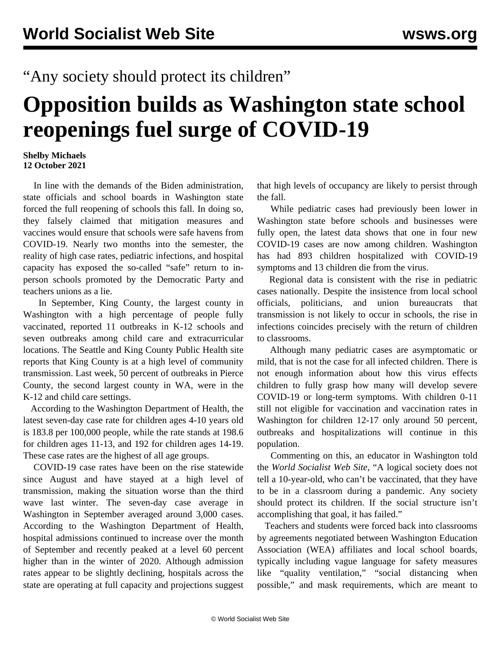## "Any society should protect its children"

## **Opposition builds as Washington state school reopenings fuel surge of COVID-19**

## **Shelby Michaels 12 October 2021**

 In line with the demands of the Biden administration, state officials and school boards in Washington state forced the full reopening of schools this fall. In doing so, they falsely claimed that mitigation measures and vaccines would ensure that schools were safe havens from COVID-19. Nearly two months into the semester, the reality of high case rates, pediatric infections, and hospital capacity has exposed the so-called "safe" return to inperson schools promoted by the Democratic Party and teachers unions as a lie.

 In September, King County, the largest county in Washington with a high percentage of people fully vaccinated, reported 11 outbreaks in K-12 schools and seven outbreaks among child care and extracurricular locations. The Seattle and King County Public Health site reports that King County is at a high level of community transmission. Last week, 50 percent of outbreaks in Pierce County, the second largest county in WA, were in the K-12 and child care settings.

 According to the Washington Department of Health, the latest seven-day case rate for children ages 4-10 years old is 183.8 per 100,000 people, while the rate stands at 198.6 for children ages 11-13, and 192 for children ages 14-19. These case rates are the highest of all age groups.

 COVID-19 case rates have been on the rise statewide since August and have stayed at a high level of transmission, making the situation worse than the third wave last winter. The seven-day case average in Washington in September averaged around 3,000 cases. According to the Washington Department of Health, hospital admissions continued to increase over the month of September and recently peaked at a level 60 percent higher than in the winter of 2020. Although admission rates appear to be slightly declining, hospitals across the state are operating at full capacity and projections suggest

that high levels of occupancy are likely to persist through the fall.

 While pediatric cases had previously been lower in Washington state before schools and businesses were fully open, the latest data shows that one in four new COVID-19 cases are now among children. Washington has had 893 children hospitalized with COVID-19 symptoms and 13 children die from the virus.

 Regional data is consistent with the rise in pediatric cases nationally. Despite the insistence from local school officials, politicians, and union bureaucrats that transmission is not likely to occur in schools, the rise in infections coincides precisely with the return of children to classrooms.

 Although many pediatric cases are asymptomatic or mild, that is not the case for all infected children. There is not enough information about how this virus effects children to fully grasp how many will develop severe COVID-19 or long-term symptoms. With children 0-11 still not eligible for vaccination and vaccination rates in Washington for children 12-17 only around 50 percent, outbreaks and hospitalizations will continue in this population.

 Commenting on this, an educator in Washington told the *World Socialist Web Site*, "A logical society does not tell a 10-year-old, who can't be vaccinated, that they have to be in a classroom during a pandemic. Any society should protect its children. If the social structure isn't accomplishing that goal, it has failed."

 Teachers and students were forced back into classrooms by agreements negotiated between Washington Education Association (WEA) affiliates and local school boards, typically including vague language for safety measures like "quality ventilation," "social distancing when possible," and mask requirements, which are meant to